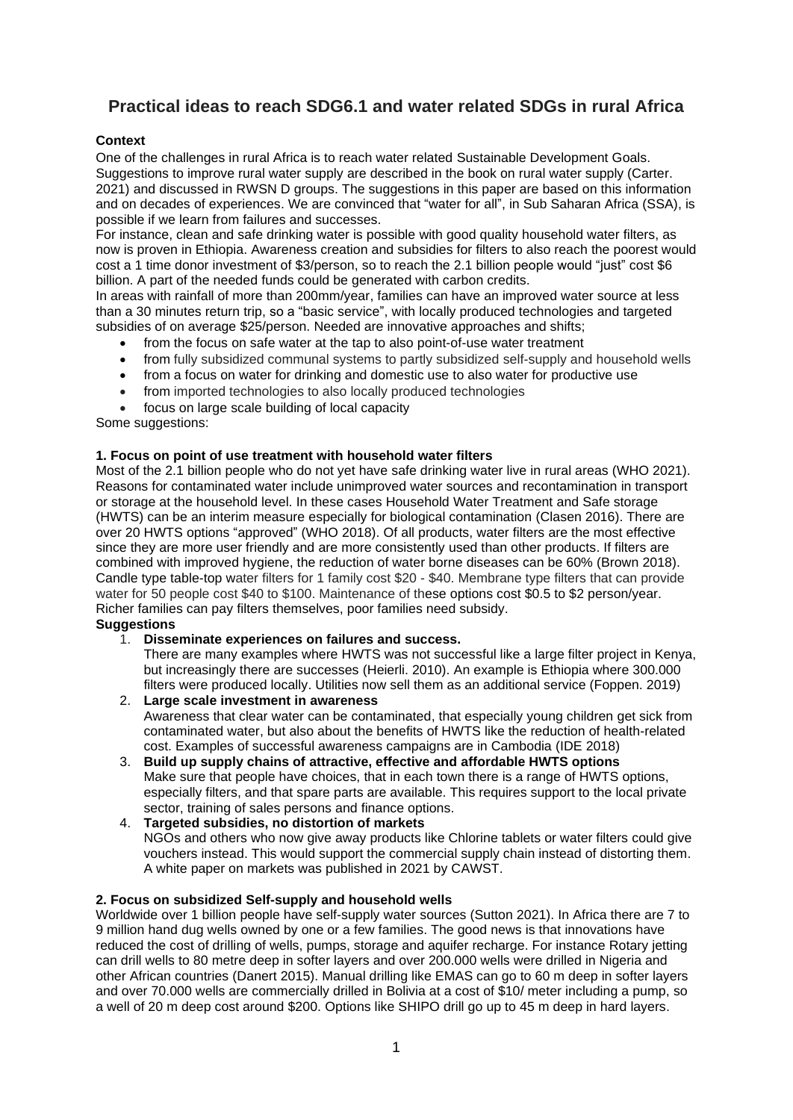# **Practical ideas to reach SDG6.1 and water related SDGs in rural Africa**

# **Context**

One of the challenges in rural Africa is to reach water related Sustainable Development Goals. Suggestions to improve rural water supply are described in the book on rural water supply (Carter. 2021) and discussed in RWSN D groups. The suggestions in this paper are based on this information and on decades of experiences. We are convinced that "water for all", in Sub Saharan Africa (SSA), is possible if we learn from failures and successes.

For instance, clean and safe drinking water is possible with good quality household water filters, as now is proven in Ethiopia. Awareness creation and subsidies for filters to also reach the poorest would cost a 1 time donor investment of \$3/person, so to reach the 2.1 billion people would "just" cost \$6 billion. A part of the needed funds could be generated with carbon credits.

In areas with rainfall of more than 200mm/year, families can have an improved water source at less than a 30 minutes return trip, so a "basic service", with locally produced technologies and targeted subsidies of on average \$25/person. Needed are innovative approaches and shifts;

- from the focus on safe water at the tap to also point-of-use water treatment
- from fully subsidized communal systems to partly subsidized self-supply and household wells
- from a focus on water for drinking and domestic use to also water for productive use
- from imported technologies to also locally produced technologies
- focus on large scale building of local capacity

Some suggestions:

# **1. Focus on point of use treatment with household water filters**

Most of the 2.1 billion people who do not yet have safe drinking water live in rural areas (WHO 2021). Reasons for contaminated water include unimproved water sources and recontamination in transport or storage at the household level. In these cases Household Water Treatment and Safe storage (HWTS) can be an interim measure especially for biological contamination (Clasen 2016). There are over 20 HWTS options "approved" (WHO 2018). Of all products, water filters are the most effective since they are more user friendly and are more consistently used than other products. If filters are combined with improved hygiene, the reduction of water borne diseases can be 60% (Brown 2018). Candle type table-top water filters for 1 family cost \$20 - \$40. Membrane type filters that can provide water for 50 people cost \$40 to \$100. Maintenance of these options cost \$0.5 to \$2 person/year. Richer families can pay filters themselves, poor families need subsidy.

# **Suggestions**

# 1. **Disseminate experiences on failures and success.**

There are many examples where HWTS was not successful like a large filter project in Kenya, but increasingly there are successes (Heierli. 2010). An example is Ethiopia where 300.000 filters were produced locally. Utilities now sell them as an additional service (Foppen. 2019)

# 2. **Large scale investment in awareness**

Awareness that clear water can be contaminated, that especially young children get sick from contaminated water, but also about the benefits of HWTS like the reduction of health-related cost. Examples of successful awareness campaigns are in Cambodia (IDE 2018)

3. **Build up supply chains of attractive, effective and affordable HWTS options** Make sure that people have choices, that in each town there is a range of HWTS options, especially filters, and that spare parts are available. This requires support to the local private sector, training of sales persons and finance options.

#### 4. **Targeted subsidies, no distortion of markets** NGOs and others who now give away products like Chlorine tablets or water filters could give vouchers instead. This would support the commercial supply chain instead of distorting them. A white paper on markets was published in 2021 by CAWST.

# **2. Focus on subsidized Self-supply and household wells**

Worldwide over 1 billion people have self-supply water sources (Sutton 2021). In Africa there are 7 to 9 million hand dug wells owned by one or a few families. The good news is that innovations have reduced the cost of drilling of wells, pumps, storage and aquifer recharge. For instance Rotary jetting can drill wells to 80 metre deep in softer layers and over 200.000 wells were drilled in Nigeria and other African countries (Danert 2015). Manual drilling like EMAS can go to 60 m deep in softer layers and over 70.000 wells are commercially drilled in Bolivia at a cost of \$10/ meter including a pump, so a well of 20 m deep cost around \$200. Options like SHIPO drill go up to 45 m deep in hard layers.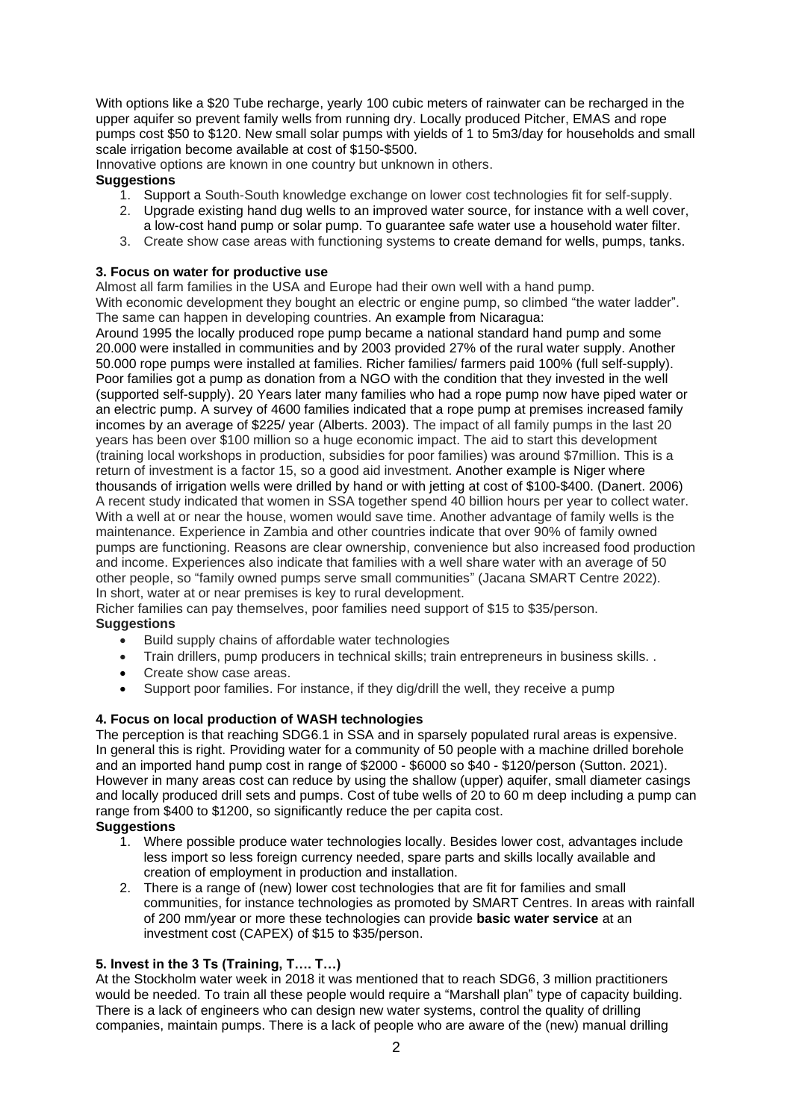With options like a \$20 Tube recharge, yearly 100 cubic meters of rainwater can be recharged in the upper aquifer so prevent family wells from running dry. Locally produced Pitcher, EMAS and rope pumps cost \$50 to \$120. New small solar pumps with yields of 1 to 5m3/day for households and small scale irrigation become available at cost of \$150-\$500.

Innovative options are known in one country but unknown in others.

# **Suggestions**

- 1. Support a South-South knowledge exchange on lower cost technologies fit for self-supply.
- 2. Upgrade existing hand dug wells to an improved water source, for instance with a well cover, a low-cost hand pump or solar pump. To guarantee safe water use a household water filter.
- 3. Create show case areas with functioning systems to create demand for wells, pumps, tanks.

#### **3. Focus on water for productive use**

Almost all farm families in the USA and Europe had their own well with a hand pump.

With economic development they bought an electric or engine pump, so climbed "the water ladder". The same can happen in developing countries. An example from Nicaragua:

Around 1995 the locally produced rope pump became a national standard hand pump and some 20.000 were installed in communities and by 2003 provided 27% of the rural water supply. Another 50.000 rope pumps were installed at families. Richer families/ farmers paid 100% (full self-supply). Poor families got a pump as donation from a NGO with the condition that they invested in the well (supported self-supply). 20 Years later many families who had a rope pump now have piped water or an electric pump. A survey of 4600 families indicated that a rope pump at premises increased family incomes by an average of \$225/ year (Alberts. 2003). The impact of all family pumps in the last 20 years has been over \$100 million so a huge economic impact. The aid to start this development (training local workshops in production, subsidies for poor families) was around \$7million. This is a return of investment is a factor 15, so a good aid investment. Another example is Niger where thousands of irrigation wells were drilled by hand or with jetting at cost of \$100-\$400. (Danert. 2006) A recent study indicated that women in SSA together spend 40 billion hours per year to collect water. With a well at or near the house, women would save time. Another advantage of family wells is the maintenance. Experience in Zambia and other countries indicate that over 90% of family owned pumps are functioning. Reasons are clear ownership, convenience but also increased food production and income. Experiences also indicate that families with a well share water with an average of 50 other people, so "family owned pumps serve small communities" (Jacana SMART Centre 2022). In short, water at or near premises is key to rural development.

Richer families can pay themselves, poor families need support of \$15 to \$35/person.

# **Suggestions**

- Build supply chains of affordable water technologies
- Train drillers, pump producers in technical skills; train entrepreneurs in business skills. .
- Create show case areas.
- Support poor families. For instance, if they dig/drill the well, they receive a pump

# **4. Focus on local production of WASH technologies**

The perception is that reaching SDG6.1 in SSA and in sparsely populated rural areas is expensive. In general this is right. Providing water for a community of 50 people with a machine drilled borehole and an imported hand pump cost in range of \$2000 - \$6000 so \$40 - \$120/person (Sutton. 2021). However in many areas cost can reduce by using the shallow (upper) aquifer, small diameter casings and locally produced drill sets and pumps. Cost of tube wells of 20 to 60 m deep including a pump can range from \$400 to \$1200, so significantly reduce the per capita cost.

# **Suggestions**

- 1. Where possible produce water technologies locally. Besides lower cost, advantages include less import so less foreign currency needed, spare parts and skills locally available and creation of employment in production and installation.
- 2. There is a range of (new) lower cost technologies that are fit for families and small communities, for instance technologies as promoted by SMART Centres. In areas with rainfall of 200 mm/year or more these technologies can provide **basic water service** at an investment cost (CAPEX) of \$15 to \$35/person.

# **5. Invest in the 3 Ts (Training, T…. T…)**

At the Stockholm water week in 2018 it was mentioned that to reach SDG6, 3 million practitioners would be needed. To train all these people would require a "Marshall plan" type of capacity building. There is a lack of engineers who can design new water systems, control the quality of drilling companies, maintain pumps. There is a lack of people who are aware of the (new) manual drilling